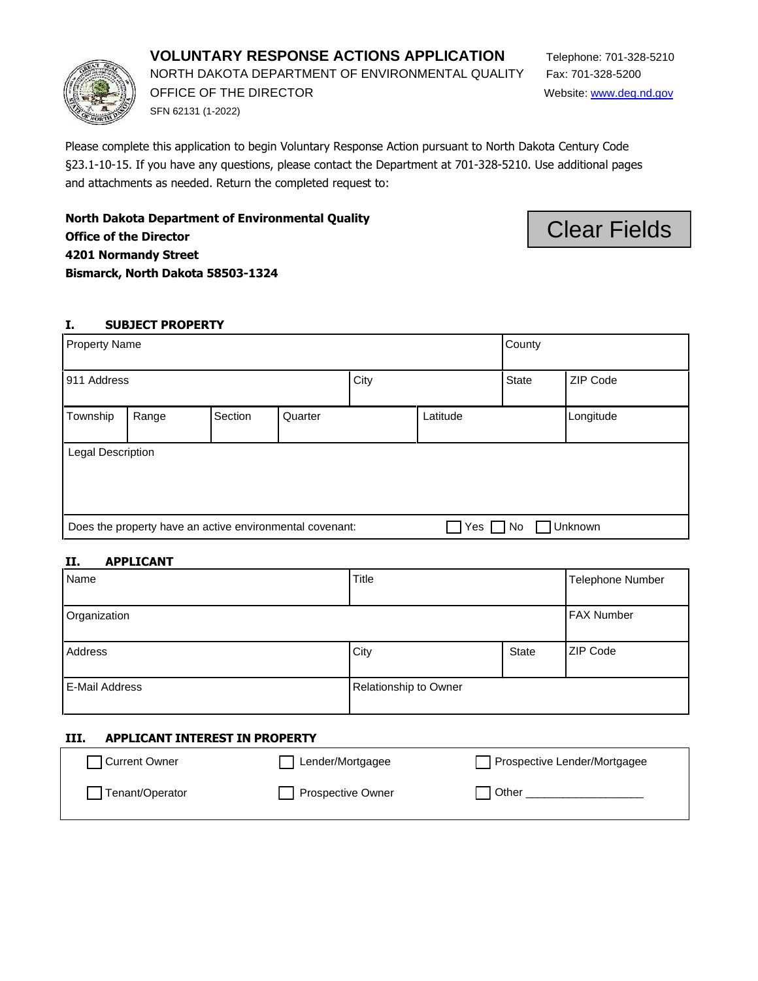# **VOLUNTARY RESPONSE ACTIONS APPLICATION** Telephone: 701-328-5210

NORTH DAKOTA DEPARTMENT OF ENVIRONMENTAL QUALITY Fax: 701-328-5200

SFN 62131 (1-2022)

Please complete this application to begin Voluntary Response Action pursuant to North Dakota Century Code §23.1-10-15. If you have any questions, please contact the Department at 701-328-5210. Use additional pages and attachments as needed. Return the completed request to:

**North Dakota Department of Environmental Quality Office of the Director 4201 Normandy Street** 

**Bismarck, North Dakota 58503-1324** 

## **I. SUBJECT PROPERTY**

| <b>Property Name</b>                                     |       |         |         | County       |          |  |           |
|----------------------------------------------------------|-------|---------|---------|--------------|----------|--|-----------|
| 911 Address                                              |       | City    |         | <b>State</b> | ZIP Code |  |           |
| Township                                                 | Range | Section | Quarter |              | Latitude |  | Longitude |
| Legal Description                                        |       |         |         |              |          |  |           |
| Does the property have an active environmental covenant: |       |         | Yes     | No           | Unknown  |  |           |

## **II. APPLICANT**

| Name           | Title                 |              | Telephone Number  |
|----------------|-----------------------|--------------|-------------------|
| Organization   |                       |              | <b>FAX Number</b> |
| Address        | City                  | <b>State</b> | <b>ZIP Code</b>   |
| E-Mail Address | Relationship to Owner |              |                   |

### **III. APPLICANT INTEREST IN PROPERTY**

| Current Owner   | Lender/Mortgagee  | Prospective Lender/Mortgagee |
|-----------------|-------------------|------------------------------|
| Tenant/Operator | Prospective Owner | <b>Other</b>                 |
|                 |                   |                              |



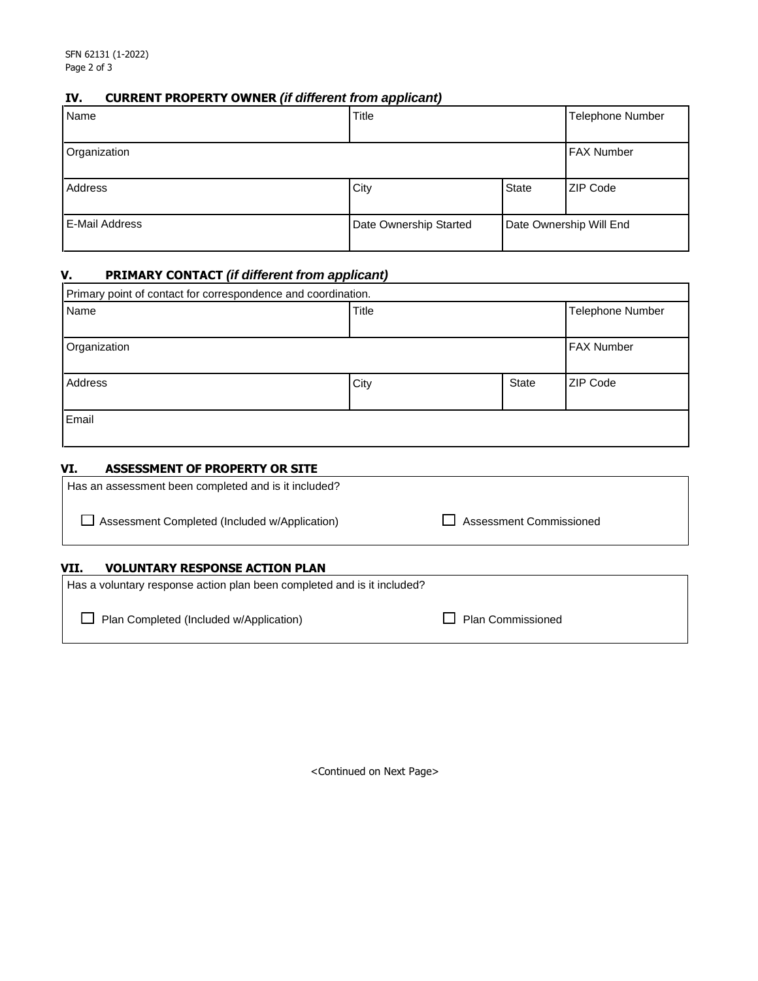# **IV. CURRENT PROPERTY OWNER** *(if different from applicant)*

| Name                  | Title                  |       | <b>Telephone Number</b> |
|-----------------------|------------------------|-------|-------------------------|
| Organization          |                        |       | <b>FAX Number</b>       |
| Address               | City                   | State | <b>ZIP Code</b>         |
| <b>E-Mail Address</b> | Date Ownership Started |       | Date Ownership Will End |

## **V. PRIMARY CONTACT** *(if different from applicant)*

| Primary point of contact for correspondence and coordination. |       |              |                   |  |
|---------------------------------------------------------------|-------|--------------|-------------------|--|
| Name                                                          | Title |              | Telephone Number  |  |
| Organization                                                  |       |              | <b>FAX Number</b> |  |
| Address                                                       | City  | <b>State</b> | ZIP Code          |  |
| Email                                                         |       |              |                   |  |

### **VI. ASSESSMENT OF PROPERTY OR SITE**

| Has a voluntary response action plan been completed and is it included? |                         |
|-------------------------------------------------------------------------|-------------------------|
| <b>VOLUNTARY RESPONSE ACTION PLAN</b><br>VII.                           |                         |
| Assessment Completed (Included w/Application)                           | Assessment Commissioned |
| Has an assessment been completed and is it included?                    |                         |

□ Plan Completed (Included w/Application) D Plan Commissioned

<Continued on Next Page>